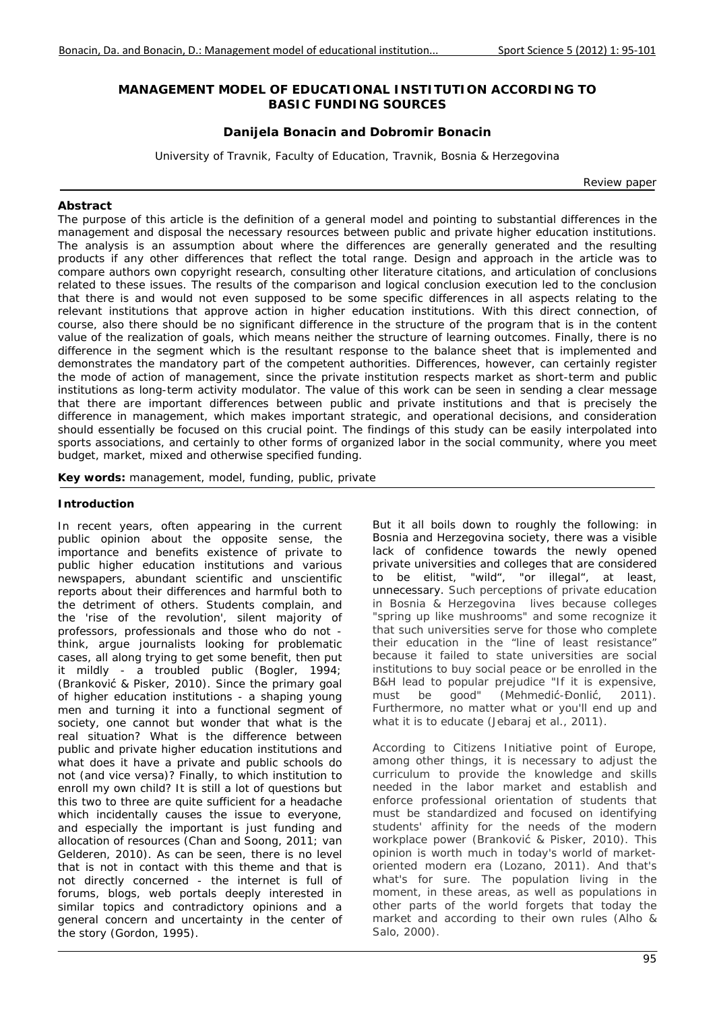## **MANAGEMENT MODEL OF EDUCATIONAL INSTITUTION ACCORDING TO BASIC FUNDING SOURCES**

## **Danijela Bonacin and Dobromir Bonacin**

*University of Travnik, Faculty of Education, Travnik, Bosnia & Herzegovina* 

*Review paper* 

### *Abstract*

The purpose of this article is the definition of a general model and pointing to substantial differences in the *management and disposal the necessary resources between public and private higher education institutions. The analysis is an assumption about where the differences are generally generated and the resulting products if any other differences that reflect the total range. Design and approach in the article was to compare authors own copyright research, consulting other literature citations, and articulation of conclusions related to these issues. The results of the comparison and logical conclusion execution led to the conclusion that there is and would not even supposed to be some specific differences in all aspects relating to the relevant institutions that approve action in higher education institutions. With this direct connection, of course, also there should be no significant difference in the structure of the program that is in the content value of the realization of goals, which means neither the structure of learning outcomes. Finally, there is no difference in the segment which is the resultant response to the balance sheet that is implemented and demonstrates the mandatory part of the competent authorities. Differences, however, can certainly register the mode of action of management, since the private institution respects market as short-term and public institutions as long-term activity modulator. The value of this work can be seen in sending a clear message that there are important differences between public and private institutions and that is precisely the difference in management, which makes important strategic, and operational decisions, and consideration should essentially be focused on this crucial point. The findings of this study can be easily interpolated into*  sports associations, and certainly to other forms of organized labor in the social community, where you meet *budget, market, mixed and otherwise specified funding.* 

*Key words: management, model, funding, public, private* 

#### **Introduction**

In recent years, often appearing in the current public opinion about the opposite sense, the importance and benefits existence of private to public higher education institutions and various newspapers, abundant scientific and unscientific reports about their differences and harmful both to the detriment of others. Students complain, and the 'rise of the revolution', silent majority of professors, professionals and those who do not think, argue journalists looking for problematic cases, all along trying to get some benefit, then put it mildly - a troubled public (Bogler, 1994; (Branković & Pisker, 2010). Since the primary goal of higher education institutions - a shaping young men and turning it into a functional segment of society, one cannot but wonder that what is the real situation? What is the difference between public and private higher education institutions and what does it have a private and public schools do not (and vice versa)? Finally, to which institution to enroll my own child? It is still a lot of questions but this two to three are quite sufficient for a headache which incidentally causes the issue to everyone, and especially the important is just funding and allocation of resources (Chan and Soong, 2011; van Gelderen, 2010). As can be seen, there is no level that is not in contact with this theme and that is not directly concerned - the internet is full of forums, blogs, web portals deeply interested in similar topics and contradictory opinions and a general concern and uncertainty in the center of the story (Gordon, 1995).

But it all boils down to roughly the following: in Bosnia and Herzegovina society, there was a visible lack of confidence towards the newly opened private universities and colleges that are considered to be elitist, "wild", "or illegal", at least, unnecessary. Such perceptions of private education in Bosnia & Herzegovina lives because colleges "spring up like mushrooms" and some recognize it that such universities serve for those who complete their education in the "line of least resistance" because it failed to state universities are social institutions to buy social peace or be enrolled in the B&H lead to popular prejudice "If it is expensive, must be good" (Mehmedić-Đonlić, 2011). Furthermore, no matter what or you'll end up and what it is to educate (Jebaraj et al., 2011).

According to Citizens Initiative point of Europe, among other things, it is necessary to adjust the curriculum to provide the knowledge and skills needed in the labor market and establish and enforce professional orientation of students that must be standardized and focused on identifying students' affinity for the needs of the modern workplace power (Branković & Pisker, 2010). This opinion is worth much in today's world of marketoriented modern era (Lozano, 2011). And that's what's for sure. The population living in the moment, in these areas, as well as populations in other parts of the world forgets that today the market and according to their own rules (Alho & Salo, 2000).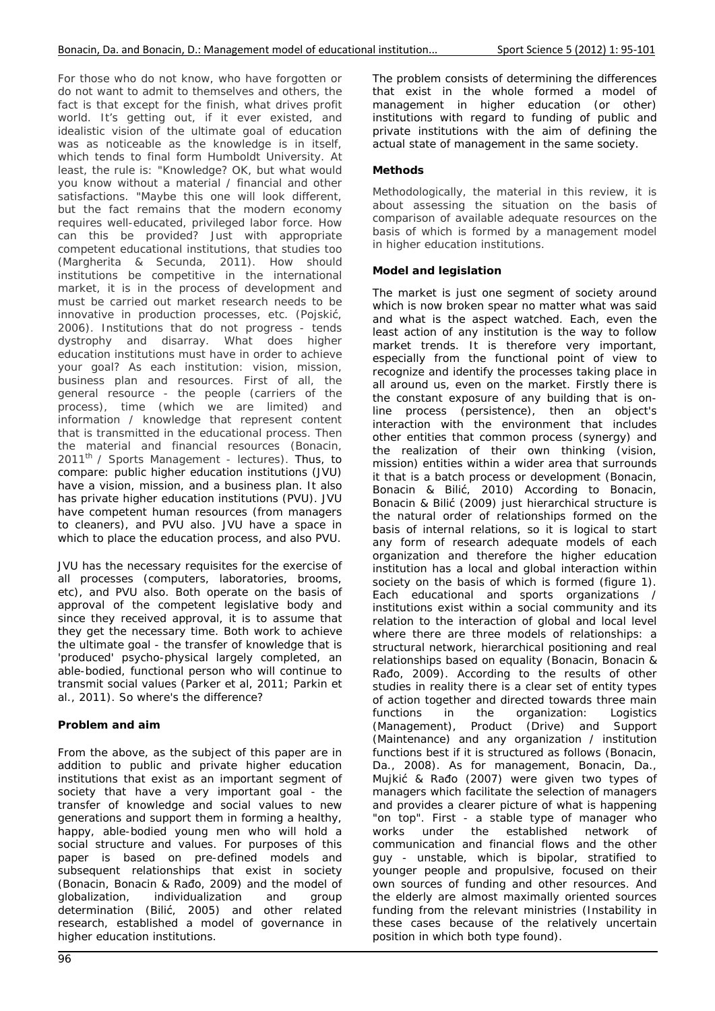For those who do not know, who have forgotten or do not want to admit to themselves and others, the fact is that except for the finish, what drives profit world. It's getting out, if it ever existed, and idealistic vision of the ultimate goal of education was as noticeable as the knowledge is in itself. which tends to final form Humboldt University. At least, the rule is: "Knowledge? OK, but what would you know without a material / financial and other satisfactions. "Maybe this one will look different, but the fact remains that the modern economy requires well-educated, privileged labor force. How can this be provided? Just with appropriate competent educational institutions, that studies too (Margherita & Secunda, 2011). How should institutions be competitive in the international market, it is in the process of development and must be carried out market research needs to be innovative in production processes, etc. (Pojskić, 2006). Institutions that do not progress - tends dystrophy and disarray. What does higher education institutions must have in order to achieve your goal? As each institution: vision, mission, business plan and resources. First of all, the general resource - the people (carriers of the process), time (which we are limited) and information / knowledge that represent content that is transmitted in the educational process. Then the material and financial resources (Bonacin,  $2011<sup>th</sup>$  / Sports Management - lectures). Thus, to compare: public higher education institutions (JVU) have a vision, mission, and a business plan. It also has private higher education institutions (PVU). JVU have competent human resources (from managers to cleaners), and PVU also. JVU have a space in which to place the education process, and also PVU.

JVU has the necessary requisites for the exercise of all processes (computers, laboratories, brooms, etc), and PVU also. Both operate on the basis of approval of the competent legislative body and since they received approval, it is to assume that they get the necessary time. Both work to achieve the ultimate goal - the transfer of knowledge that is 'produced' psycho-physical largely completed, an able-bodied, functional person who will continue to transmit social values (Parker et al, 2011; Parkin et al., 2011). So where's the difference?

## **Problem and aim**

From the above, as the subject of this paper are in addition to public and private higher education institutions that exist as an important segment of society that have a very important goal - the transfer of knowledge and social values to new generations and support them in forming a healthy, happy, able-bodied young men who will hold a social structure and values. For purposes of this paper is based on pre-defined models and subsequent relationships that exist in society (Bonacin, Bonacin & Rađo, 2009) and the model of globalization, individualization and group individualization and group determination (Bilić, 2005) and other related research, established a model of governance in higher education institutions.

The problem consists of determining the differences that exist in the whole formed a model of management in higher education (or other) institutions with regard to funding of public and private institutions with the aim of defining the actual state of management in the same society.

# **Methods**

Methodologically, the material in this review, it is about assessing the situation on the basis of comparison of available adequate resources on the basis of which is formed by a management model in higher education institutions.

# **Model and legislation**

The market is just one segment of society around which is now broken spear no matter what was said and what is the aspect watched. Each, even the least action of any institution is the way to follow market trends. It is therefore very important, especially from the functional point of view to recognize and identify the processes taking place in all around us, even on the market. Firstly there is the constant exposure of any building that is online process (persistence), then an object's interaction with the environment that includes other entities that common process (synergy) and the realization of their own thinking (vision, mission) entities within a wider area that surrounds it that is a batch process or development (Bonacin, Bonacin & Bilić, 2010) According to Bonacin, Bonacin & Bilić (2009) just hierarchical structure is the natural order of relationships formed on the basis of internal relations, so it is logical to start any form of research adequate models of each organization and therefore the higher education institution has a local and global interaction within society on the basis of which is formed (figure 1). Each educational and sports organizations / institutions exist within a social community and its relation to the interaction of global and local level where there are three models of relationships: a structural network, hierarchical positioning and real relationships based on equality (Bonacin, Bonacin & Rađo, 2009). According to the results of other studies in reality there is a clear set of entity types of action together and directed towards three main functions in the organization: Logistics (Management), Product (Drive) and Support (Maintenance) and any organization / institution functions best if it is structured as follows (Bonacin, Da., 2008). As for management, Bonacin, Da., Mujkić & Rađo (2007) were given two types of managers which facilitate the selection of managers and provides a clearer picture of what is happening "on top". First - a stable type of manager who works under the established network of communication and financial flows and the other guy - unstable, which is bipolar, stratified to younger people and propulsive, focused on their own sources of funding and other resources. And the elderly are almost maximally oriented sources funding from the relevant ministries (Instability in these cases because of the relatively uncertain position in which both type found).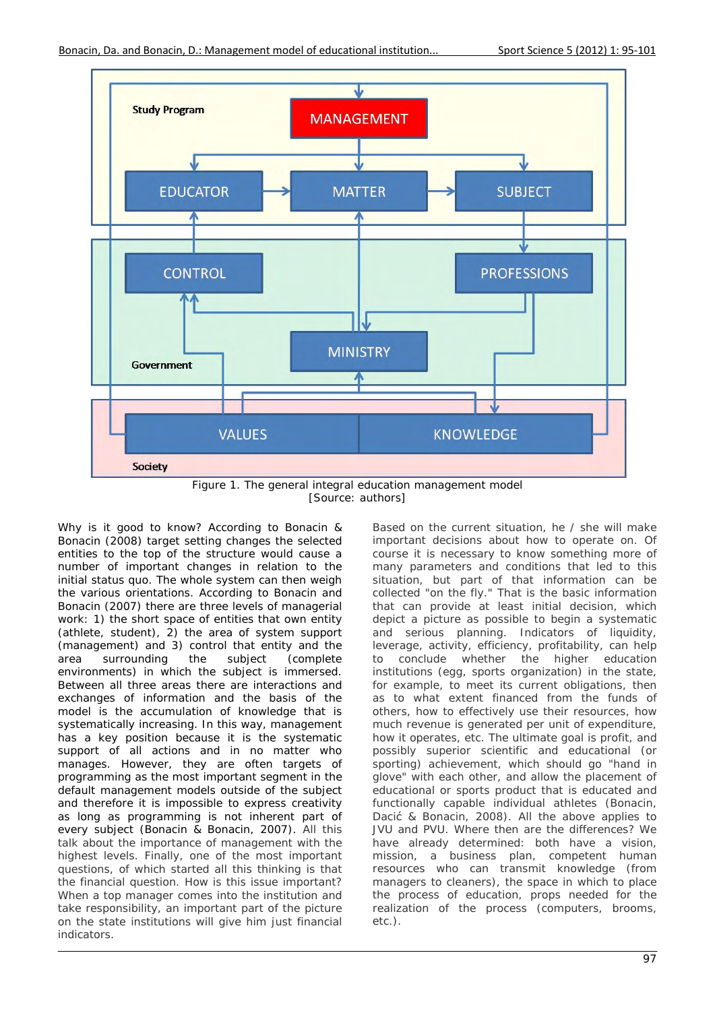

[Source: authors]

Why is it good to know? According to Bonacin & Bonacin (2008) target setting changes the selected entities to the top of the structure would cause a number of important changes in relation to the initial status quo. The whole system can then weigh the various orientations. According to Bonacin and Bonacin (2007) there are three levels of managerial work: 1) the short space of entities that own entity (athlete, student), 2) the area of system support (management) and 3) control that entity and the area surrounding the subject (complete environments) in which the subject is immersed. Between all three areas there are interactions and exchanges of information and the basis of the model is the accumulation of knowledge that is systematically increasing. In this way, management has a key position because it is the systematic support of all actions and in no matter who manages. However, they are often targets of programming as the most important segment in the default management models outside of the subject and therefore it is impossible to express creativity as long as programming is not inherent part of every subject (Bonacin & Bonacin, 2007). All this talk about the importance of management with the highest levels. Finally, one of the most important questions, of which started all this thinking is that the financial question. How is this issue important? When a top manager comes into the institution and take responsibility, an important part of the picture on the state institutions will give him just financial indicators.

Based on the current situation, he / she will make important decisions about how to operate on. Of course it is necessary to know something more of many parameters and conditions that led to this situation, but part of that information can be collected "on the fly." That is the basic information that can provide at least initial decision, which depict a picture as possible to begin a systematic and serious planning. Indicators of liquidity, leverage, activity, efficiency, profitability, can help to conclude whether the higher education institutions (egg, sports organization) in the state, for example, to meet its current obligations, then as to what extent financed from the funds of others, how to effectively use their resources, how much revenue is generated per unit of expenditure, how it operates, etc. The ultimate goal is profit, and possibly superior scientific and educational (or sporting) achievement, which should go "hand in glove" with each other, and allow the placement of educational or sports product that is educated and functionally capable individual athletes (Bonacin, Dacić & Bonacin, 2008). All the above applies to JVU and PVU. Where then are the differences? We have already determined: both have a vision, mission, a business plan, competent human resources who can transmit knowledge (from managers to cleaners), the space in which to place the process of education, props needed for the realization of the process (computers, brooms, etc.).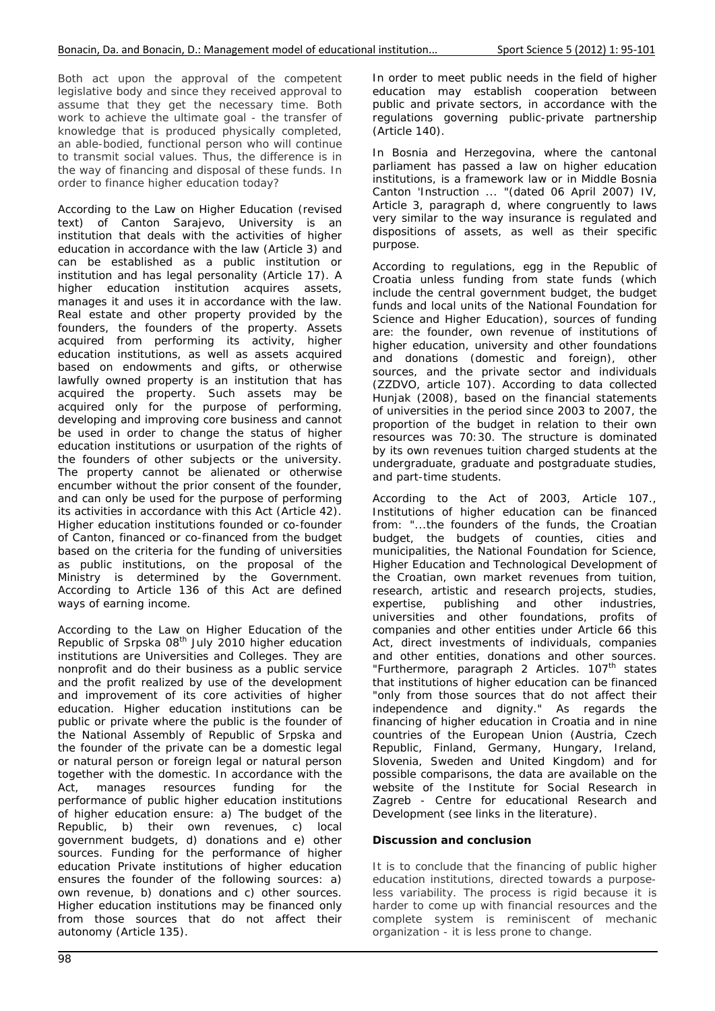Both act upon the approval of the competent legislative body and since they received approval to assume that they get the necessary time. Both work to achieve the ultimate goal - the transfer of knowledge that is produced physically completed, an able-bodied, functional person who will continue to transmit social values. Thus, the difference is in the way of financing and disposal of these funds. In order to finance higher education today?

According to the Law on Higher Education (revised text) of Canton Sarajevo, University is an institution that deals with the activities of higher education in accordance with the law (Article 3) and can be established as a public institution or institution and has legal personality (Article 17). A higher education institution acquires assets, manages it and uses it in accordance with the law. Real estate and other property provided by the founders, the founders of the property. Assets acquired from performing its activity, higher education institutions, as well as assets acquired based on endowments and gifts, or otherwise lawfully owned property is an institution that has acquired the property. Such assets may be acquired only for the purpose of performing, developing and improving core business and cannot be used in order to change the status of higher education institutions or usurpation of the rights of the founders of other subjects or the university. The property cannot be alienated or otherwise encumber without the prior consent of the founder, and can only be used for the purpose of performing its activities in accordance with this Act (Article 42). Higher education institutions founded or co-founder of Canton, financed or co-financed from the budget based on the criteria for the funding of universities as public institutions, on the proposal of the Ministry is determined by the Government. According to Article 136 of this Act are defined ways of earning income.

According to the Law on Higher Education of the Republic of Srpska 08th July 2010 higher education institutions are Universities and Colleges. They are nonprofit and do their business as a public service and the profit realized by use of the development and improvement of its core activities of higher education. Higher education institutions can be public or private where the public is the founder of the National Assembly of Republic of Srpska and the founder of the private can be a domestic legal or natural person or foreign legal or natural person together with the domestic. In accordance with the Act, manages resources funding for the performance of public higher education institutions of higher education ensure: a) The budget of the Republic, b) their own revenues, c) local government budgets, d) donations and e) other sources. Funding for the performance of higher education Private institutions of higher education ensures the founder of the following sources: a) own revenue, b) donations and c) other sources. Higher education institutions may be financed only from those sources that do not affect their autonomy (Article 135).

In order to meet public needs in the field of higher education may establish cooperation between public and private sectors, in accordance with the regulations governing public-private partnership (Article 140).

In Bosnia and Herzegovina, where the cantonal parliament has passed a law on higher education institutions, is a framework law or in Middle Bosnia Canton 'Instruction ... "(dated 06 April 2007) IV, Article 3, paragraph d, where congruently to laws very similar to the way insurance is regulated and dispositions of assets, as well as their specific purpose.

According to regulations, egg in the Republic of Croatia unless funding from state funds (which include the central government budget, the budget funds and local units of the National Foundation for Science and Higher Education), sources of funding are: the founder, own revenue of institutions of higher education, university and other foundations and donations (domestic and foreign), other sources, and the private sector and individuals (ZZDVO, article 107). According to data collected Hunjak (2008), based on the financial statements of universities in the period since 2003 to 2007, the proportion of the budget in relation to their own resources was 70:30. The structure is dominated by its own revenues tuition charged students at the undergraduate, graduate and postgraduate studies, and part-time students.

According to the Act of 2003, Article 107., Institutions of higher education can be financed from: "...the founders of the funds, the Croatian budget, the budgets of counties, cities and municipalities, the National Foundation for Science, Higher Education and Technological Development of the Croatian, own market revenues from tuition, research, artistic and research projects, studies, expertise, publishing and other industries, universities and other foundations, profits of companies and other entities under Article 66 this Act, direct investments of individuals, companies and other entities, donations and other sources. "Furthermore, paragraph 2 Articles. 107<sup>th</sup> states that institutions of higher education can be financed "only from those sources that do not affect their independence and dignity." As regards the financing of higher education in Croatia and in nine countries of the European Union (Austria, Czech Republic, Finland, Germany, Hungary, Ireland, Slovenia, Sweden and United Kingdom) and for possible comparisons, the data are available on the website of the Institute for Social Research in Zagreb - Centre for educational Research and Development (see links in the literature).

## **Discussion and conclusion**

It is to conclude that the financing of public higher education institutions, directed towards a purposeless variability. The process is rigid because it is harder to come up with financial resources and the complete system is reminiscent of mechanic organization - it is less prone to change.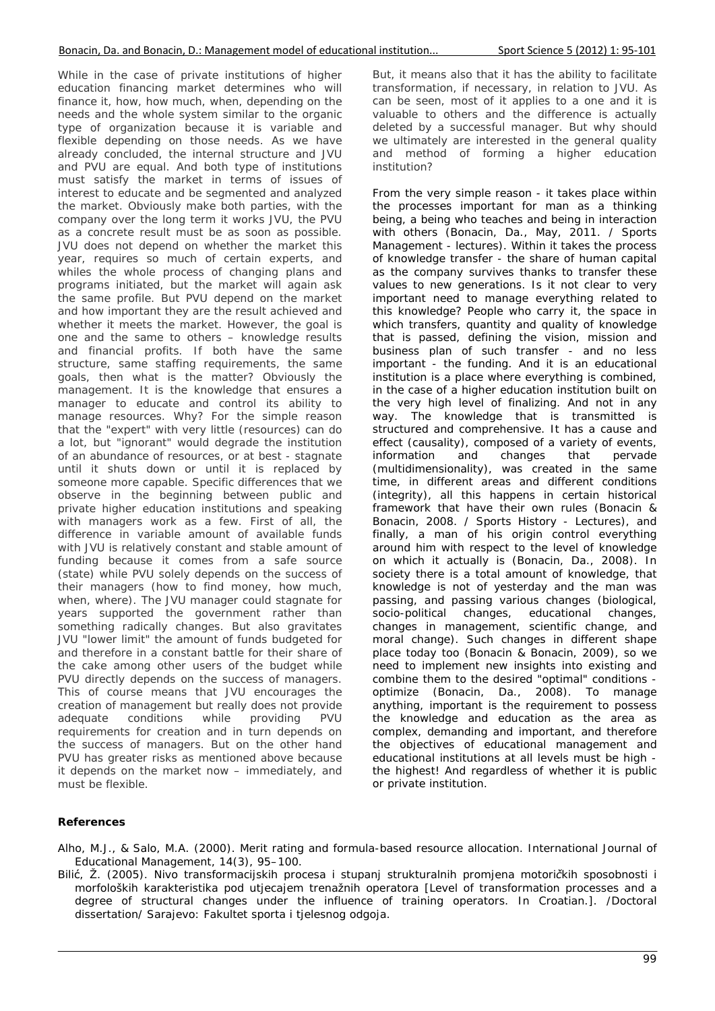While in the case of private institutions of higher education financing market determines who will finance it, how, how much, when, depending on the needs and the whole system similar to the organic type of organization because it is variable and flexible depending on those needs. As we have already concluded, the internal structure and JVU and PVU are equal. And both type of institutions must satisfy the market in terms of issues of interest to educate and be segmented and analyzed the market. Obviously make both parties, with the company over the long term it works JVU, the PVU as a concrete result must be as soon as possible. JVU does not depend on whether the market this year, requires so much of certain experts, and whiles the whole process of changing plans and programs initiated, but the market will again ask the same profile. But PVU depend on the market and how important they are the result achieved and whether it meets the market. However, the goal is one and the same to others – knowledge results and financial profits. If both have the same structure, same staffing requirements, the same goals, then what is the matter? Obviously the management. It is the knowledge that ensures a manager to educate and control its ability to manage resources. Why? For the simple reason that the "expert" with very little (resources) can do a lot, but "ignorant" would degrade the institution of an abundance of resources, or at best - stagnate until it shuts down or until it is replaced by someone more capable. Specific differences that we observe in the beginning between public and private higher education institutions and speaking with managers work as a few. First of all, the difference in variable amount of available funds with JVU is relatively constant and stable amount of funding because it comes from a safe source (state) while PVU solely depends on the success of their managers (how to find money, how much, when, where). The JVU manager could stagnate for years supported the government rather than something radically changes. But also gravitates JVU "lower limit" the amount of funds budgeted for and therefore in a constant battle for their share of the cake among other users of the budget while PVU directly depends on the success of managers. This of course means that JVU encourages the creation of management but really does not provide adequate conditions while providing PVU requirements for creation and in turn depends on the success of managers. But on the other hand PVU has greater risks as mentioned above because it depends on the market now – immediately, and must be flexible.

But, it means also that it has the ability to facilitate transformation, if necessary, in relation to JVU. As can be seen, most of it applies to a one and it is valuable to others and the difference is actually deleted by a successful manager. But why should we ultimately are interested in the general quality and method of forming a higher education institution?

From the very simple reason - it takes place within the processes important for man as a thinking being, a being who teaches and being in interaction with others (Bonacin, Da., May, 2011. / Sports Management - lectures). Within it takes the process of knowledge transfer - the share of human capital as the company survives thanks to transfer these values to new generations. Is it not clear to very important need to manage everything related to this knowledge? People who carry it, the space in which transfers, quantity and quality of knowledge that is passed, defining the vision, mission and business plan of such transfer - and no less important - the funding. And it is an educational institution is a place where everything is combined, in the case of a higher education institution built on the very high level of finalizing. And not in any way. The knowledge that is transmitted is structured and comprehensive. It has a cause and effect (causality), composed of a variety of events, information and changes that pervade (multidimensionality), was created in the same time, in different areas and different conditions (integrity), all this happens in certain historical framework that have their own rules (Bonacin & Bonacin, 2008. / Sports History - Lectures), and finally, a man of his origin control everything around him with respect to the level of knowledge on which it actually is (Bonacin, Da., 2008). In society there is a total amount of knowledge, that knowledge is not of yesterday and the man was passing, and passing various changes (biological, socio-political changes, educational changes, socio-political changes, educational changes, changes in management, scientific change, and moral change). Such changes in different shape place today too (Bonacin & Bonacin, 2009), so we need to implement new insights into existing and combine them to the desired "optimal" conditions optimize (Bonacin, Da., 2008). To manage anything, important is the requirement to possess the knowledge and education as the area as complex, demanding and important, and therefore the objectives of educational management and educational institutions at all levels must be high the highest! And regardless of whether it is public or private institution.

## **References**

- Alho, M.J., & Salo, M.A. (2000). Merit rating and formula-based resource allocation. *International Journal of Educational Management, 14*(3), 95–100.
- Bilić, Ž. (2005). *Nivo transformacijskih procesa i stupanj strukturalnih promjena motoričkih sposobnosti i morfoloških karakteristika pod utjecajem trenažnih operatora* [Level of transformation processes and a degree of structural changes under the influence of training operators. In Croatian.]. /Doctoral dissertation/ Sarajevo: Fakultet sporta i tjelesnog odgoja.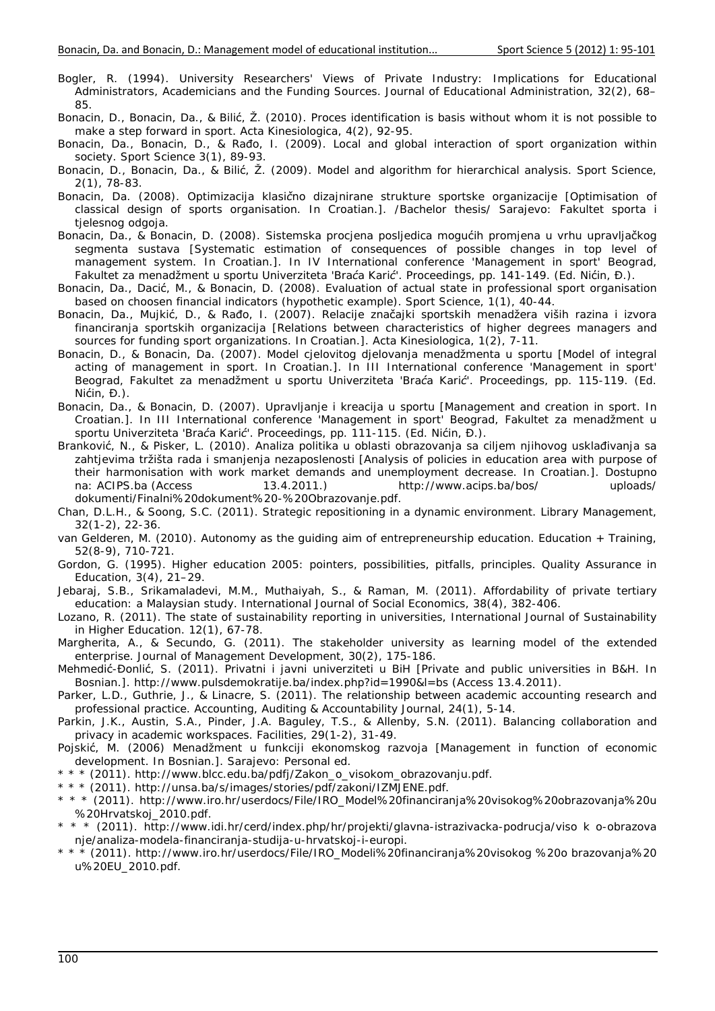- Bogler, R. (1994). University Researchers' Views of Private Industry: Implications for Educational Administrators, Academicians and the Funding Sources. *Journal of Educational Administration, 32*(2), 68– 85.
- Bonacin, D., Bonacin, Da., & Bilić, Ž. (2010). Proces identification is basis without whom it is not possible to make a step forward in sport. *Acta Kinesiologica, 4*(2), 92-95.
- Bonacin, Da., Bonacin, D., & Rađo, I. (2009). Local and global interaction of sport organization within society. *Sport Science 3*(1), 89-93.
- Bonacin, D., Bonacin, Da., & Bilić, Ž. (2009). Model and algorithm for hierarchical analysis. *Sport Science, 2*(1), 78-83.
- Bonacin, Da. (2008). *Optimizacija klasično dizajnirane strukture sportske organizacije* [Optimisation of classical design of sports organisation. In Croatian.]. /Bachelor thesis/ Sarajevo: Fakultet sporta i tjelesnog odgoja.
- Bonacin, Da., & Bonacin, D. (2008). Sistemska procjena posljedica mogućih promjena u vrhu upravljačkog segmenta sustava [Systematic estimation of consequences of possible changes in top level of management system. In Croatian.]. *In IV International conference 'Management in sport' Beograd, Fakultet za menadžment u sportu Univerziteta 'Braća Karić'. Proceedings,* pp. 141-149. (Ed. Nićin, Đ.).
- Bonacin, Da., Dacić, M., & Bonacin, D. (2008). Evaluation of actual state in professional sport organisation based on choosen financial indicators (hypothetic example). *Sport Science, 1*(1), 40-44.
- Bonacin, Da., Mujkić, D., & Rađo, I. (2007). Relacije značajki sportskih menadžera viših razina i izvora financiranja sportskih organizacija [Relations between characteristics of higher degrees managers and sources for funding sport organizations. In Croatian.]. *Acta Kinesiologica, 1*(2), 7-11.
- Bonacin, D., & Bonacin, Da. (2007). Model cjelovitog djelovanja menadžmenta u sportu [Model of integral acting of management in sport. In Croatian.]. *In III International conference 'Management in sport' Beograd, Fakultet za menadžment u sportu Univerziteta 'Braća Karić'. Proceedings,* pp. 115-119. (Ed. Nićin, Đ.).
- Bonacin, Da., & Bonacin, D. (2007). Upravljanje i kreacija u sportu [Management and creation in sport. In Croatian.]. *In III International conference 'Management in sport' Beograd, Fakultet za menadžment u sportu Univerziteta 'Braća Karić'. Proceedings*, pp. 111-115. (Ed. Nićin, Đ.).
- Branković, N., & Pisker, L. (2010). Analiza politika u oblasti obrazovanja sa ciljem njihovog usklađivanja sa zahtjevima tržišta rada i smanjenja nezaposlenosti [Analysis of policies in education area with purpose of their harmonisation with work market demands and unemployment decrease. In Croatian.]. Dostupno na: ACIPS.ba (Access 13.4.2011.) http://www.acips.ba/bos/ uploads/ dokumenti/Finalni%20dokument%20-%20Obrazovanje.pdf.
- Chan, D.L.H., & Soong, S.C. (2011). Strategic repositioning in a dynamic environment. *Library Management, 32*(1-2), 22-36.
- van Gelderen, M. (2010). Autonomy as the guiding aim of entrepreneurship education. *Education + Training, 52*(8-9), 710-721.
- Gordon, G. (1995). Higher education 2005: pointers, possibilities, pitfalls, principles. *Quality Assurance in Education, 3*(4), 21–29.
- Jebaraj, S.B., Srikamaladevi, M.M., Muthaiyah, S., & Raman, M. (2011). Affordability of private tertiary education: a Malaysian study. *International Journal of Social Economics, 38*(4), 382-406.
- Lozano, R. (2011). The state of sustainability reporting in universities, *International Journal of Sustainability in Higher Education. 12(*1), 67-78.
- Margherita, A., & Secundo, G. (2011). The stakeholder university as learning model of the extended enterprise. *Journal of Management Development, 30*(2), 175-186.
- Mehmedić-Đonlić, S. (2011). *Privatni i javni univerziteti u BiH* [Private and public universities in B&H. In Bosnian.]. http://www.pulsdemokratije.ba/index.php?id=1990&l=bs (Access 13.4.2011).
- Parker, L.D., Guthrie, J., & Linacre, S. (2011). The relationship between academic accounting research and professional practice. *Accounting, Auditing & Accountability Journal, 24*(1), 5-14.
- Parkin, J.K., Austin, S.A., Pinder, J.A. Baguley, T.S., & Allenby, S.N. (2011). Balancing collaboration and privacy in academic workspaces. *Facilities, 29*(1-2), 31-49.
- Pojskić, M. (2006) Menadžment u funkciji ekonomskog razvoja [Management in function of economic development. In Bosnian.]. Sarajevo: Personal ed.
- \* \* \* (2011). http://www.blcc.edu.ba/pdfj/Zakon\_o\_visokom\_obrazovanju.pdf.
- \* \* \* (2011). http://unsa.ba/s/images/stories/pdf/zakoni/IZMJENE.pdf.
- \* \* \* (2011). http://www.iro.hr/userdocs/File/IRO\_Model%20financiranja%20visokog%20obrazovanja%20u %20Hrvatskoj\_2010.pdf.
- \* \* \* (2011). http://www.idi.hr/cerd/index.php/hr/projekti/glavna-istrazivacka-podrucja/viso k o-obrazova nje/analiza-modela-financiranja-studija-u-hrvatskoj-i-europi.
- \* \* \* (2011). http://www.iro.hr/userdocs/File/IRO\_Modeli%20financiranja%20visokog %20o brazovanja%20 u%20EU\_2010.pdf.